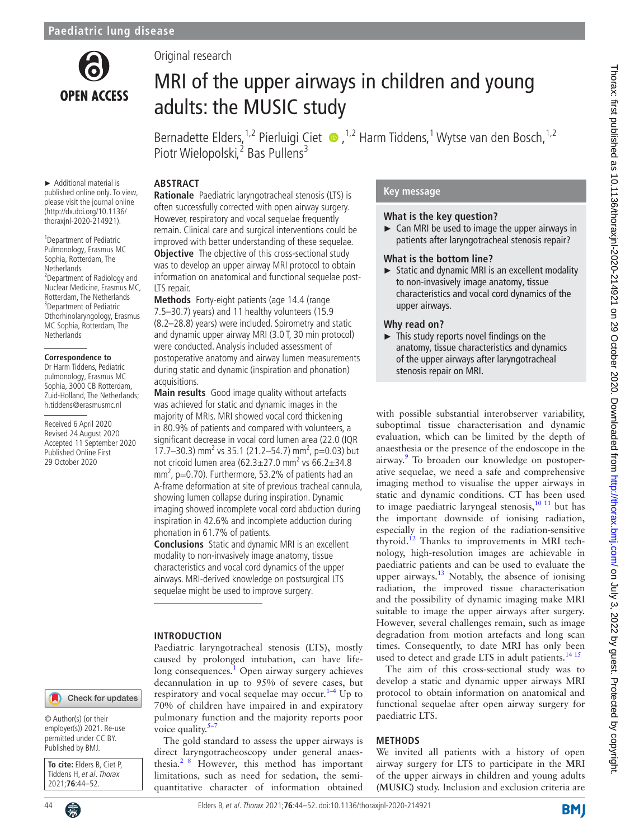

Original research

# MRI of the upper airways in children and young adults: the MUSIC study

Bernadette Elders,<sup>1,2</sup> Pierluigi Ciet (D, <sup>1,2</sup> Harm Tiddens,<sup>1</sup> Wytse van den Bosch,<sup>1,2</sup> Piotr Wielopolski,<sup>2</sup> Bas Pullens<sup>3</sup>

## **ABSTRACT**

► Additional material is published online only. To view, please visit the journal online (http://dx.doi.org/10.1136/ thoraxjnl-2020-214921).

<sup>1</sup>Department of Pediatric Pulmonology, Erasmus MC Sophia, Rotterdam, The **Netherlands** 2 Department of Radiology and Nuclear Medicine, Erasmus MC, Rotterdam, The Netherlands <sup>3</sup>Department of Pediatric Othorhinolaryngology, Erasmus MC Sophia, Rotterdam, The **Netherlands** 

#### **Correspondence to**

Dr Harm Tiddens, Pediatric pulmonology, Erasmus MC Sophia, 3000 CB Rotterdam, Zuid-Holland, The Netherlands; h.tiddens@erasmusmc.nl

Received 6 April 2020 Revised 24 August 2020 Accepted 11 September 2020 Published Online First 29 October 2020

**Rationale** Paediatric laryngotracheal stenosis (LTS) is often successfully corrected with open airway surgery. However, respiratory and vocal sequelae frequently remain. Clinical care and surgical interventions could be improved with better understanding of these sequelae. **Objective** The objective of this cross-sectional study was to develop an upper airway MRI protocol to obtain information on anatomical and functional sequelae post-LTS repair.

**Methods** Forty-eight patients (age 14.4 (range 7.5–30.7) years) and 11 healthy volunteers (15.9 (8.2–28.8) years) were included. Spirometry and static and dynamic upper airway MRI (3.0 T, 30 min protocol) were conducted. Analysis included assessment of postoperative anatomy and airway lumen measurements during static and dynamic (inspiration and phonation) acquisitions.

**Main results** Good image quality without artefacts was achieved for static and dynamic images in the majority of MRIs. MRI showed vocal cord thickening in 80.9% of patients and compared with volunteers, a significant decrease in vocal cord lumen area (22.0 (IQR 17.7–30.3) mm<sup>2</sup> vs 35.1 (21.2–54.7) mm<sup>2</sup>, p=0.03) but not cricoid lumen area (62.3 $\pm$ 27.0 mm<sup>2</sup> vs 66.2 $\pm$ 34.8 mm<sup>2</sup>, p=0.70). Furthermore, 53.2% of patients had an A-frame deformation at site of previous tracheal cannula, showing lumen collapse during inspiration. Dynamic imaging showed incomplete vocal cord abduction during inspiration in 42.6% and incomplete adduction during phonation in 61.7% of patients.

**Conclusions** Static and dynamic MRI is an excellent modality to non-invasively image anatomy, tissue characteristics and vocal cord dynamics of the upper airways. MRI-derived knowledge on postsurgical LTS sequelae might be used to improve surgery.

#### **INTRODUCTION**

Paediatric laryngotracheal stenosis (LTS), mostly caused by prolonged intubation, can have lifelong consequences.<sup>1</sup> Open airway surgery achieves decannulation in up to 95% of severe cases, but respiratory and vocal sequelae may occur.<sup>1-4</sup> Up to 70% of children have impaired in and expiratory pulmonary function and the majority reports poor voice quality. $5-$ 

The gold standard to assess the upper airways is direct laryngotracheoscopy under general anaesthesia. $2^{8}$  However, this method has important limitations, such as need for sedation, the semiquantitative character of information obtained

## **Key message**

#### **What is the key question?**

► Can MRI be used to image the upper airways in patients after laryngotracheal stenosis repair?

## **What is the bottom line?**

► Static and dynamic MRI is an excellent modality to non-invasively image anatomy, tissue characteristics and vocal cord dynamics of the upper airways.

## **Why read on?**

► This study reports novel findings on the anatomy, tissue characteristics and dynamics of the upper airways after laryngotracheal stenosis repair on MRI.

with possible substantial interobserver variability, suboptimal tissue characterisation and dynamic evaluation, which can be limited by the depth of anaesthesia or the presence of the endoscope in the airway.[9](#page-7-3) To broaden our knowledge on postoperative sequelae, we need a safe and comprehensive imaging method to visualise the upper airways in static and dynamic conditions. CT has been used to image paediatric laryngeal stenosis,  $10^{-11}$  but has the important downside of ionising radiation, especially in the region of the radiation-sensitive thyroid.[12](#page-7-5) Thanks to improvements in MRI technology, high-resolution images are achievable in paediatric patients and can be used to evaluate the upper airways.<sup>[13](#page-7-6)</sup> Notably, the absence of ionising radiation, the improved tissue characterisation and the possibility of dynamic imaging make MRI suitable to image the upper airways after surgery. However, several challenges remain, such as image degradation from motion artefacts and long scan times. Consequently, to date MRI has only been used to detect and grade LTS in adult patients.<sup>[14 15](#page-7-7)</sup>

The aim of this cross-sectional study was to develop a static and dynamic upper airways MRI protocol to obtain information on anatomical and functional sequelae after open airway surgery for paediatric LTS.

## **METHODS**

We invited all patients with a history of open airway surgery for LTS to participate in the **M**RI of the **u**pper airway**s i**n **c**hildren and young adults (**MUSIC**) study. Inclusion and exclusion criteria are

Check for updates

© Author(s) (or their employer(s)) 2021. Re-use permitted under CC BY. Published by BMJ.



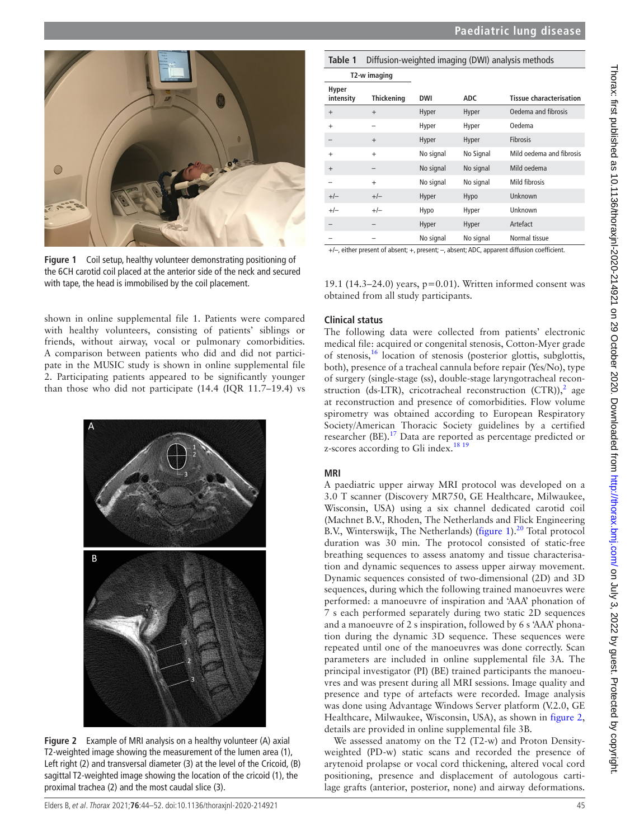

**Figure 1** Coil setup, healthy volunteer demonstrating positioning of the 6CH carotid coil placed at the anterior side of the neck and secured with tape, the head is immobilised by the coil placement.

<span id="page-1-0"></span>shown in [online supplemental file 1](https://dx.doi.org/10.1136/thoraxjnl-2020-214921). Patients were compared with healthy volunteers, consisting of patients' siblings or friends, without airway, vocal or pulmonary comorbidities. A comparison between patients who did and did not participate in the MUSIC study is shown in [online supplemental file](https://dx.doi.org/10.1136/thoraxjnl-2020-214921)  [2](https://dx.doi.org/10.1136/thoraxjnl-2020-214921). Participating patients appeared to be significantly younger than those who did not participate (14.4 (IQR 11.7–19.4) vs



**Figure 2** Example of MRI analysis on a healthy volunteer (A) axial T2-weighted image showing the measurement of the lumen area (1), Left right (2) and transversal diameter (3) at the level of the Cricoid, (B) sagittal T2-weighted image showing the location of the cricoid (1), the proximal trachea (2) and the most caudal slice (3).

<span id="page-1-2"></span>

|                                 | Table 1 Diffusion-weighted imaging (DWI) analysis methods |  |  |  |
|---------------------------------|-----------------------------------------------------------|--|--|--|
| $T_1, \ldots, T_n, \ldots, T_n$ |                                                           |  |  |  |

| 12-w miaying              |                   |            |            |                                |
|---------------------------|-------------------|------------|------------|--------------------------------|
| <b>Hyper</b><br>intensity | <b>Thickening</b> | <b>DWI</b> | <b>ADC</b> | <b>Tissue characterisation</b> |
| $+$                       | $+$               | Hyper      | Hyper      | Oedema and fibrosis            |
| $\ddot{}$                 |                   | Hyper      | Hyper      | Oedema                         |
|                           | $+$               | Hyper      | Hyper      | <b>Fibrosis</b>                |
| $^{+}$                    | $^{+}$            | No signal  | No Signal  | Mild oedema and fibrosis       |
| $+$                       |                   | No signal  | No signal  | Mild oedema                    |
|                           | $\ddot{}$         | No signal  | No signal  | Mild fibrosis                  |
| $+/-$                     | $+/-$             | Hyper      | Hypo       | Unknown                        |
| $+/-$                     | $+/-$             | Hypo       | Hyper      | Unknown                        |
|                           |                   | Hyper      | Hyper      | Artefact                       |
|                           |                   | No signal  | No signal  | Normal tissue                  |

+/–, either present of absent; +, present; –, absent; ADC, apparent diffusion coefficient.

19.1 (14.3–24.0) years, p=0.01). Written informed consent was obtained from all study participants.

## **Clinical status**

The following data were collected from patients' electronic medical file: acquired or congenital stenosis, Cotton-Myer grade of stenosis,[16](#page-7-8) location of stenosis (posterior glottis, subglottis, both), presence of a tracheal cannula before repair (Yes/No), type of surgery (single-stage (ss), double-stage laryngotracheal reconstruction (ds-LTR), cricotracheal reconstruction (CTR)),<sup>2</sup> age at reconstruction and presence of comorbidities. Flow volume spirometry was obtained according to European Respiratory Society/American Thoracic Society guidelines by a certified researcher (BE).<sup>[17](#page-7-9)</sup> Data are reported as percentage predicted or z-scores according to Gli index.<sup>[18 19](#page-7-10)</sup>

## **MRI**

A paediatric upper airway MRI protocol was developed on a 3.0 T scanner (Discovery MR750, GE Healthcare, Milwaukee, Wisconsin, USA) using a six channel dedicated carotid coil (Machnet B.V., Rhoden, The Netherlands and Flick Engineering B.V., Winterswijk, The Netherlands) ([figure](#page-1-0) 1).<sup>[20](#page-7-11)</sup> Total protocol duration was 30 min. The protocol consisted of static-free breathing sequences to assess anatomy and tissue characterisation and dynamic sequences to assess upper airway movement. Dynamic sequences consisted of two-dimensional (2D) and 3D sequences, during which the following trained manoeuvres were performed: a manoeuvre of inspiration and 'AAA' phonation of 7 s each performed separately during two static 2D sequences and a manoeuvre of 2 s inspiration, followed by 6 s 'AAA' phonation during the dynamic 3D sequence. These sequences were repeated until one of the manoeuvres was done correctly. Scan parameters are included in [online supplemental file 3A](https://dx.doi.org/10.1136/thoraxjnl-2020-214921). The principal investigator (PI) (BE) trained participants the manoeuvres and was present during all MRI sessions. Image quality and presence and type of artefacts were recorded. Image analysis was done using Advantage Windows Server platform (V.2.0, GE Healthcare, Milwaukee, Wisconsin, USA), as shown in [figure](#page-1-1) 2, details are provided in [online supplemental file 3B.](https://dx.doi.org/10.1136/thoraxjnl-2020-214921)

<span id="page-1-1"></span>We assessed anatomy on the T2 (T2-w) and Proton Densityweighted (PD-w) static scans and recorded the presence of arytenoid prolapse or vocal cord thickening, altered vocal cord positioning, presence and displacement of autologous cartilage grafts (anterior, posterior, none) and airway deformations.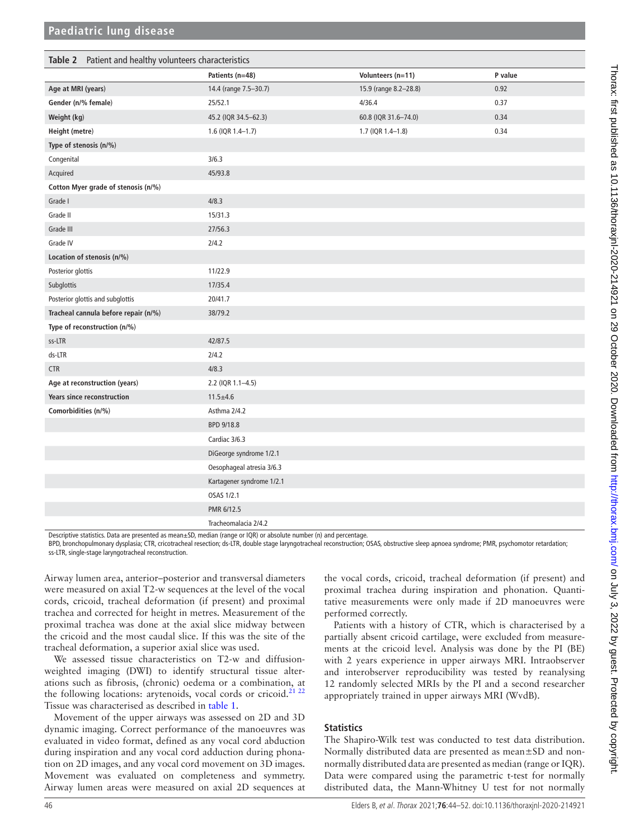<span id="page-2-0"></span>

| Table 2 Patient and healthy volunteers characteristics |
|--------------------------------------------------------|
|--------------------------------------------------------|

|                                      | Patients (n=48)           | Volunteers (n=11)     | P value |
|--------------------------------------|---------------------------|-----------------------|---------|
| Age at MRI (years)                   | 14.4 (range 7.5-30.7)     | 15.9 (range 8.2-28.8) | 0.92    |
| Gender (n/% female)                  | 25/52.1                   | 4/36.4                | 0.37    |
| Weight (kg)                          | 45.2 (IQR 34.5-62.3)      | 60.8 (IQR 31.6-74.0)  | 0.34    |
| Height (metre)                       | $1.6$ (IQR $1.4-1.7$ )    | 1.7 (IQR 1.4-1.8)     | 0.34    |
| Type of stenosis (n/%)               |                           |                       |         |
| Congenital                           | 3/6.3                     |                       |         |
| Acquired                             | 45/93.8                   |                       |         |
| Cotton Myer grade of stenosis (n/%)  |                           |                       |         |
| Grade I                              | 4/8.3                     |                       |         |
| Grade II                             | 15/31.3                   |                       |         |
| Grade III                            | 27/56.3                   |                       |         |
| Grade IV                             | 2/4.2                     |                       |         |
| Location of stenosis (n/%)           |                           |                       |         |
| Posterior glottis                    | 11/22.9                   |                       |         |
| Subglottis                           | 17/35.4                   |                       |         |
| Posterior glottis and subglottis     | 20/41.7                   |                       |         |
| Tracheal cannula before repair (n/%) | 38/79.2                   |                       |         |
| Type of reconstruction (n/%)         |                           |                       |         |
| ss-LTR                               | 42/87.5                   |                       |         |
| ds-LTR                               | 2/4.2                     |                       |         |
| <b>CTR</b>                           | 4/8.3                     |                       |         |
| Age at reconstruction (years)        | 2.2 (IQR 1.1-4.5)         |                       |         |
| <b>Years since reconstruction</b>    | $11.5 + 4.6$              |                       |         |
| Comorbidities (n/%)                  | Asthma 2/4.2              |                       |         |
|                                      | BPD 9/18.8                |                       |         |
|                                      | Cardiac 3/6.3             |                       |         |
|                                      | DiGeorge syndrome 1/2.1   |                       |         |
|                                      | Oesophageal atresia 3/6.3 |                       |         |
|                                      | Kartagener syndrome 1/2.1 |                       |         |
|                                      | OSAS 1/2.1                |                       |         |
|                                      | PMR 6/12.5                |                       |         |
|                                      | Tracheomalacia 2/4.2      |                       |         |

Descriptive statistics. Data are presented as mean±SD, median (range or IQR) or absolute number (n) and percentage.

BPD, bronchopulmonary dysplasia; CTR, cricotracheal resection; ds-LTR, double stage laryngotracheal reconstruction; OSAS, obstructive sleep apnoea syndrome; PMR, psychomotor retardation; ss-LTR, single-stage laryngotracheal reconstruction.

Airway lumen area, anterior–posterior and transversal diameters were measured on axial T2-w sequences at the level of the vocal cords, cricoid, tracheal deformation (if present) and proximal trachea and corrected for height in metres. Measurement of the proximal trachea was done at the axial slice midway between the cricoid and the most caudal slice. If this was the site of the tracheal deformation, a superior axial slice was used.

We assessed tissue characteristics on T2-w and diffusionweighted imaging (DWI) to identify structural tissue alterations such as fibrosis, (chronic) oedema or a combination, at the following locations: arytenoids, vocal cords or cricoid.<sup>[21 22](#page-7-12)</sup> Tissue was characterised as described in [table](#page-1-2) 1.

Movement of the upper airways was assessed on 2D and 3D dynamic imaging. Correct performance of the manoeuvres was evaluated in video format, defined as any vocal cord abduction during inspiration and any vocal cord adduction during phonation on 2D images, and any vocal cord movement on 3D images. Movement was evaluated on completeness and symmetry. Airway lumen areas were measured on axial 2D sequences at

the vocal cords, cricoid, tracheal deformation (if present) and proximal trachea during inspiration and phonation. Quantitative measurements were only made if 2D manoeuvres were performed correctly.

Patients with a history of CTR, which is characterised by a partially absent cricoid cartilage, were excluded from measurements at the cricoid level. Analysis was done by the PI (BE) with 2 years experience in upper airways MRI. Intraobserver and interobserver reproducibility was tested by reanalysing 12 randomly selected MRIs by the PI and a second researcher appropriately trained in upper airways MRI (WvdB).

#### **Statistics**

The Shapiro-Wilk test was conducted to test data distribution. Normally distributed data are presented as mean±SD and nonnormally distributed data are presented as median (range or IQR). Data were compared using the parametric t-test for normally distributed data, the Mann-Whitney U test for not normally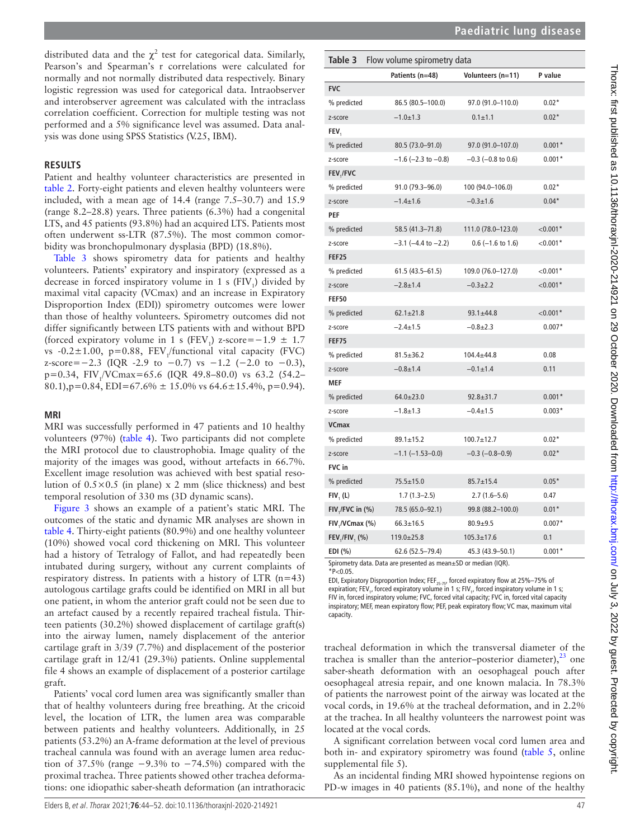distributed data and the  $\chi^2$  test for categorical data. Similarly, Pearson's and Spearman's r correlations were calculated for normally and not normally distributed data respectively. Binary logistic regression was used for categorical data. Intraobserver and interobserver agreement was calculated with the intraclass correlation coefficient. Correction for multiple testing was not performed and a 5% significance level was assumed. Data analysis was done using SPSS Statistics (V.25, IBM).

#### **RESULTS**

Patient and healthy volunteer characteristics are presented in [table](#page-2-0) 2. Forty-eight patients and eleven healthy volunteers were included, with a mean age of 14.4 (range 7.5–30.7) and 15.9 (range 8.2–28.8) years. Three patients (6.3%) had a congenital LTS, and 45 patients (93.8%) had an acquired LTS. Patients most often underwent ss-LTR (87.5%). The most common comorbidity was bronchopulmonary dysplasia (BPD) (18.8%).

[Table](#page-3-0) 3 shows spirometry data for patients and healthy volunteers. Patients' expiratory and inspiratory (expressed as a decrease in forced inspiratory volume in 1 s  $(FIV_1)$  divided by maximal vital capacity (VCmax) and an increase in Expiratory Disproportion Index (EDI)) spirometry outcomes were lower than those of healthy volunteers. Spirometry outcomes did not differ significantly between LTS patients with and without BPD (forced expiratory volume in 1 s (FEV<sub>1</sub>) z-score= $-1.9 \pm 1.7$ vs  $-0.2 \pm 1.00$ ,  $p=0.88$ ,  $FEV_1/functional$  vital capacity (FVC) z-score=−2.3 (IQR -2.9 to −0.7) vs −1.2 (−2.0 to −0.3), p=0.34, FIV<sub>1</sub>/VCmax=65.6 (IQR 49.8–80.0) vs 63.2 (54.2– 80.1),  $p=0.84$ ,  $EDI=67.6% \pm 15.0%$  vs  $64.6 \pm 15.4%$ ,  $p=0.94$ ).

#### **MRI**

MRI was successfully performed in 47 patients and 10 healthy volunteers (97%) [\(table](#page-4-0) 4). Two participants did not complete the MRI protocol due to claustrophobia. Image quality of the majority of the images was good, without artefacts in 66.7%. Excellent image resolution was achieved with best spatial resolution of  $0.5 \times 0.5$  (in plane) x 2 mm (slice thickness) and best temporal resolution of 330 ms (3D dynamic scans).

[Figure](#page-5-0) 3 shows an example of a patient's static MRI. The outcomes of the static and dynamic MR analyses are shown in [table](#page-4-0) 4. Thirty-eight patients (80.9%) and one healthy volunteer (10%) showed vocal cord thickening on MRI. This volunteer had a history of Tetralogy of Fallot, and had repeatedly been intubated during surgery, without any current complaints of respiratory distress. In patients with a history of LTR (n=43) autologous cartilage grafts could be identified on MRI in all but one patient, in whom the anterior graft could not be seen due to an artefact caused by a recently repaired tracheal fistula. Thirteen patients (30.2%) showed displacement of cartilage graft(s) into the airway lumen, namely displacement of the anterior cartilage graft in 3/39 (7.7%) and displacement of the posterior cartilage graft in 12/41 (29.3%) patients. [Online supplemental](https://dx.doi.org/10.1136/thoraxjnl-2020-214921)  [file 4](https://dx.doi.org/10.1136/thoraxjnl-2020-214921) shows an example of displacement of a posterior cartilage graft.

Patients' vocal cord lumen area was significantly smaller than that of healthy volunteers during free breathing. At the cricoid level, the location of LTR, the lumen area was comparable between patients and healthy volunteers. Additionally, in 25 patients (53.2%) an A-frame deformation at the level of previous tracheal cannula was found with an average lumen area reduction of 37.5% (range  $-9.3\%$  to  $-74.5\%$ ) compared with the proximal trachea. Three patients showed other trachea deformations: one idiopathic saber-sheath deformation (an intrathoracic

<span id="page-3-0"></span>

|                           | Table 3 Flow volume spirometry data |                         |            |  |  |  |  |
|---------------------------|-------------------------------------|-------------------------|------------|--|--|--|--|
|                           | Patients (n=48)                     | Volunteers (n=11)       | P value    |  |  |  |  |
| <b>FVC</b>                |                                     |                         |            |  |  |  |  |
| % predicted               | 86.5 (80.5-100.0)                   | 97.0 (91.0-110.0)       | $0.02*$    |  |  |  |  |
| z-score                   | $-1.0 + 1.3$                        | $0.1 \pm 1.1$           | $0.02*$    |  |  |  |  |
| FEV,                      |                                     |                         |            |  |  |  |  |
| % predicted               | 80.5 (73.0-91.0)                    | 97.0 (91.0-107.0)       | $0.001*$   |  |  |  |  |
| z-score                   | $-1.6$ ( $-2.3$ to $-0.8$ )         | $-0.3$ ( $-0.8$ to 0.6) | $0.001*$   |  |  |  |  |
| FEV,/FVC                  |                                     |                         |            |  |  |  |  |
| % predicted               | 91.0 (79.3-96.0)                    | 100 (94.0-106.0)        | $0.02*$    |  |  |  |  |
| z-score                   | $-1.4 \pm 1.6$                      | $-0.3 \pm 1.6$          | $0.04*$    |  |  |  |  |
| PEF                       |                                     |                         |            |  |  |  |  |
| % predicted               | 58.5 (41.3-71.8)                    | 111.0 (78.0-123.0)      | $< 0.001*$ |  |  |  |  |
| z-score                   | $-3.1$ ( $-4.4$ to $-2.2$ )         | $0.6$ (-1.6 to 1.6)     | $< 0.001*$ |  |  |  |  |
| FEF25                     |                                     |                         |            |  |  |  |  |
| % predicted               | $61.5(43.5 - 61.5)$                 | 109.0 (76.0-127.0)      | $< 0.001*$ |  |  |  |  |
| z-score                   | $-2.8 + 1.4$                        | $-0.3 \pm 2.2$          | $< 0.001*$ |  |  |  |  |
| FEF50                     |                                     |                         |            |  |  |  |  |
| % predicted               | $62.1 \pm 21.8$                     | $93.1 \pm 44.8$         | $< 0.001*$ |  |  |  |  |
| z-score                   | $-2.4 \pm 1.5$                      | $-0.8 + 2.3$            | $0.007*$   |  |  |  |  |
| <b>FEF75</b>              |                                     |                         |            |  |  |  |  |
| % predicted               | $81.5 \pm 36.2$                     | $104.4 + 44.8$          | 0.08       |  |  |  |  |
| z-score                   | $-0.8 + 1.4$                        | $-0.1 \pm 1.4$          | 0.11       |  |  |  |  |
| <b>MEF</b>                |                                     |                         |            |  |  |  |  |
| % predicted               | $64.0 \pm 23.0$                     | $92.8 \pm 31.7$         | $0.001*$   |  |  |  |  |
| z-score                   | $-1.8 + 1.3$                        | $-0.4 \pm 1.5$          | $0.003*$   |  |  |  |  |
| <b>VCmax</b>              |                                     |                         |            |  |  |  |  |
| % predicted               | $89.1 \pm 15.2$                     | $100.7 + 12.7$          | $0.02*$    |  |  |  |  |
| z-score                   | $-1.1$ ( $-1.53-0.0$ )              | $-0.3$ ( $-0.8-0.9$ )   | $0.02*$    |  |  |  |  |
| FVC in                    |                                     |                         |            |  |  |  |  |
| % predicted               | $75.5 \pm 15.0$                     | $85.7 \pm 15.4$         | $0.05*$    |  |  |  |  |
| FIV, (L)                  | $1.7(1.3-2.5)$                      | $2.7(1.6-5.6)$          | 0.47       |  |  |  |  |
| $FIV$ ,/ $FVC$ in $(\% )$ | 78.5 (65.0-92.1)                    | 99.8 (88.2-100.0)       | $0.01*$    |  |  |  |  |
| FIV,/VCmax (%)            | $66.3 \pm 16.5$                     | $80.9 + 9.5$            | $0.007*$   |  |  |  |  |
| FEV, /FIV, (%)            | $119.0 \pm 25.8$                    | $105.3 \pm 17.6$        | 0.1        |  |  |  |  |
| EDI (%)                   | 62.6 (52.5-79.4)                    | 45.3 (43.9-50.1)        | $0.001*$   |  |  |  |  |

Spirometry data. Data are presented as mean±SD or median (IQR).  $*P<0.05$ 

EDI, Expiratory Disproportion Index; FEF<sub>25-75</sub>, forced expiratory flow at 25%–75% of expiration; FEV, forced expiratory volume in 1 s; FIV, forced inspiratory volume in 1 s; FIV in, forced inspiratory volume; FVC, forced vital capacity; FVC in, forced vital capacity inspiratory; MEF, mean expiratory flow; PEF, peak expiratory flow; VC max, maximum vital capacity.

tracheal deformation in which the transversal diameter of the trachea is smaller than the anterior–posterior diameter), $^{23}$  one saber-sheath deformation with an oesophageal pouch after oesophageal atresia repair, and one known malacia. In 78.3% of patients the narrowest point of the airway was located at the vocal cords, in 19.6% at the tracheal deformation, and in 2.2% at the trachea. In all healthy volunteers the narrowest point was located at the vocal cords.

A significant correlation between vocal cord lumen area and both in- and expiratory spirometry was found ([table](#page-6-0) 5, [online](https://dx.doi.org/10.1136/thoraxjnl-2020-214921) [supplemental file](https://dx.doi.org/10.1136/thoraxjnl-2020-214921) 5).

As an incidental finding MRI showed hypointense regions on PD-w images in 40 patients (85.1%), and none of the healthy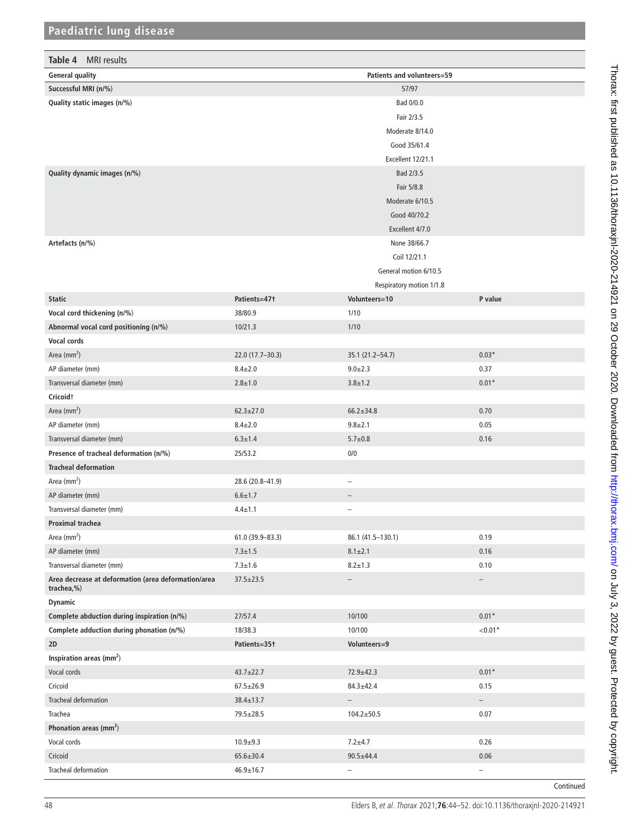<span id="page-4-0"></span>

| <b>MRI</b> results<br>Table 4                                     |                  |                            |                          |
|-------------------------------------------------------------------|------------------|----------------------------|--------------------------|
| <b>General quality</b>                                            |                  | Patients and volunteers=59 |                          |
| Successful MRI (n/%)                                              |                  | 57/97                      |                          |
| Quality static images (n/%)                                       |                  | Bad 0/0.0                  |                          |
|                                                                   |                  | Fair 2/3.5                 |                          |
|                                                                   |                  | Moderate 8/14.0            |                          |
|                                                                   |                  | Good 35/61.4               |                          |
|                                                                   |                  | Excellent 12/21.1          |                          |
| Quality dynamic images (n/%)                                      |                  | Bad 2/3.5                  |                          |
|                                                                   |                  | Fair 5/8.8                 |                          |
|                                                                   |                  | Moderate 6/10.5            |                          |
|                                                                   |                  | Good 40/70.2               |                          |
|                                                                   |                  | Excellent 4/7.0            |                          |
| Artefacts (n/%)                                                   |                  | None 38/66.7               |                          |
|                                                                   |                  | Coil 12/21.1               |                          |
|                                                                   |                  | General motion 6/10.5      |                          |
|                                                                   |                  | Respiratory motion 1/1.8   |                          |
| <b>Static</b>                                                     | Patients=47†     | Volunteers=10              | P value                  |
| Vocal cord thickening (n/%)                                       | 38/80.9          | 1/10                       |                          |
| Abnormal vocal cord positioning (n/%)                             | 10/21.3          | 1/10                       |                          |
| <b>Vocal cords</b>                                                |                  |                            |                          |
| Area $(mm^2)$                                                     | 22.0 (17.7-30.3) | 35.1 (21.2-54.7)           | $0.03*$                  |
| AP diameter (mm)                                                  | $8.4 + 2.0$      | $9.0 + 2.3$                | 0.37                     |
| Transversal diameter (mm)                                         | $2.8 + 1.0$      | $3.8 \pm 1.2$              | $0.01*$                  |
| Cricoid†                                                          |                  |                            |                          |
| Area ( $mm2$ )                                                    | $62.3 \pm 27.0$  | $66.2 \pm 34.8$            | 0.70                     |
| AP diameter (mm)                                                  | $8.4 \pm 2.0$    | $9.8 \pm 2.1$              | 0.05                     |
| Transversal diameter (mm)                                         | $6.3 \pm 1.4$    | $5.7 \pm 0.8$              | 0.16                     |
| Presence of tracheal deformation (n/%)                            | 25/53.2          | 0/0                        |                          |
| <b>Tracheal deformation</b>                                       |                  |                            |                          |
| Area ( $mm2$ )                                                    | 28.6 (20.8-41.9) | $\qquad \qquad -$          |                          |
| AP diameter (mm)                                                  | $6.6 \pm 1.7$    |                            |                          |
| Transversal diameter (mm)                                         | $4.4 \pm 1.1$    |                            |                          |
| Proximal trachea                                                  |                  |                            |                          |
| Area ( $mm2$ )                                                    | 61.0 (39.9-83.3) | 86.1 (41.5-130.1)          | 0.19                     |
| AP diameter (mm)                                                  | $7.3 + 1.5$      | $8.1 \pm 2.1$              | 0.16                     |
| Transversal diameter (mm)                                         | $7.3 + 1.6$      | $8.2 \pm 1.3$              | 0.10                     |
| Area decrease at deformation (area deformation/area<br>trachea,%) | $37.5 \pm 23.5$  |                            |                          |
| <b>Dynamic</b>                                                    |                  |                            |                          |
| Complete abduction during inspiration (n/%)                       | 27/57.4          | 10/100                     | $0.01*$                  |
| Complete adduction during phonation (n/%)                         | 18/38.3          | 10/100                     | ${<}0.01*$               |
| 2D                                                                | Patients=35t     | Volunteers=9               |                          |
| Inspiration areas (mm <sup>2</sup> )                              |                  |                            |                          |
| Vocal cords                                                       | $43.7 \pm 22.7$  | $72.9 \pm 42.3$            | $0.01*$                  |
| Cricoid                                                           | $67.5 \pm 26.9$  | $84.3 \pm 42.4$            | 0.15                     |
| Tracheal deformation                                              | 38.4±13.7        | $\overline{\phantom{0}}$   | $\overline{\phantom{0}}$ |
| Trachea                                                           | $79.5 \pm 28.5$  | $104.2 + 50.5$             | 0.07                     |
| Phonation areas (mm <sup>2</sup> )                                |                  |                            |                          |
| Vocal cords                                                       | $10.9 + 9.3$     | $7.2 + 4.7$                | 0.26                     |
| Cricoid                                                           | $65.6 \pm 30.4$  | $90.5 + 44.4$              | 0.06                     |
| Tracheal deformation                                              | $46.9 \pm 16.7$  |                            | $\overline{\phantom{0}}$ |
|                                                                   |                  |                            | Continued                |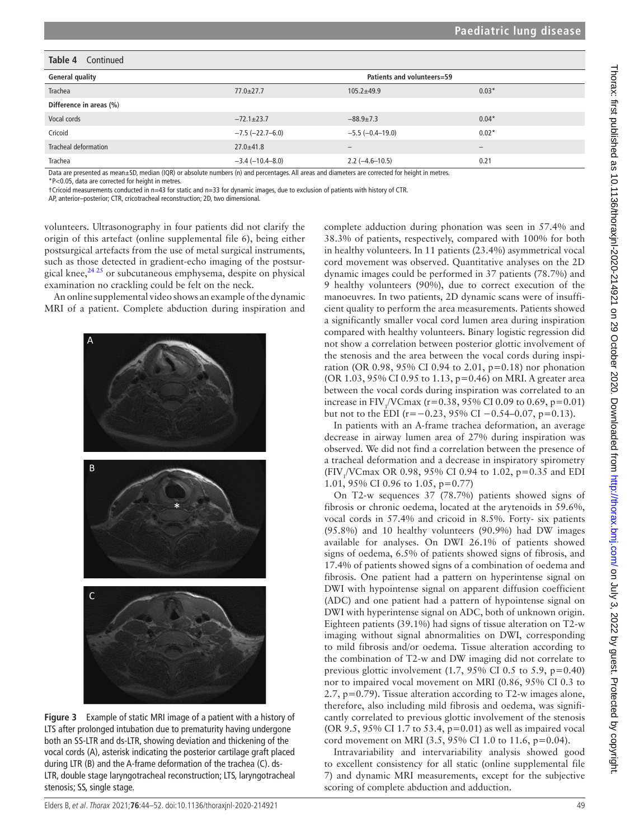## **Table 4** Continued

| <b>General quality</b>                                                                                                                                                                                                        | Patients and volunteers=59 |                              |                          |  |  |
|-------------------------------------------------------------------------------------------------------------------------------------------------------------------------------------------------------------------------------|----------------------------|------------------------------|--------------------------|--|--|
| Trachea                                                                                                                                                                                                                       | $77.0 \pm 27.7$            | $105.2 + 49.9$               | $0.03*$                  |  |  |
| Difference in areas (%)                                                                                                                                                                                                       |                            |                              |                          |  |  |
| Vocal cords                                                                                                                                                                                                                   | $-72.1 \pm 23.7$           | $-88.9+7.3$                  | $0.04*$                  |  |  |
| Cricoid                                                                                                                                                                                                                       | $-7.5$ ( $-22.7-6.0$ )     | $-5.5$ ( $-0.4-19.0$ )       | $0.02*$                  |  |  |
| <b>Tracheal deformation</b>                                                                                                                                                                                                   | $27.0 + 41.8$              | $\qquad \qquad \blacksquare$ | $\overline{\phantom{a}}$ |  |  |
| Trachea                                                                                                                                                                                                                       | $-3.4$ ( $-10.4-8.0$ )     | $2.2(-4.6-10.5)$             | 0.21                     |  |  |
| Batalog and control of the Constitutional control of the continue of the constitution of the constitution of the batch of the top of the constitution of the constitution of the constant of the constitution of the constant |                            |                              |                          |  |  |

Data are presented as mean±SD, median (IQR) or absolute numbers (n) and percentages. All areas and diameters are corrected for height in metres.

\*P<0.05, data are corrected for height in metres.

†Cricoid measurements conducted in n=43 for static and n=33 for dynamic images, due to exclusion of patients with history of CTR.

AP, anterior–posterior; CTR, cricotracheal reconstruction; 2D, two dimensional.

volunteers. Ultrasonography in four patients did not clarify the origin of this artefact [\(online supplemental file 6\)](https://dx.doi.org/10.1136/thoraxjnl-2020-214921), being either postsurgical artefacts from the use of metal surgical instruments, such as those detected in gradient-echo imaging of the postsurgical knee, $^{24\,25}$  or subcutaneous emphysema, despite on physical examination no crackling could be felt on the neck.

An [online supplemental video](https://dx.doi.org/10.1136/thoraxjnl-2020-214921) shows an example of the dynamic MRI of a patient. Complete abduction during inspiration and



<span id="page-5-0"></span>

complete adduction during phonation was seen in 57.4% and 38.3% of patients, respectively, compared with 100% for both in healthy volunteers. In 11 patients (23.4%) asymmetrical vocal cord movement was observed. Quantitative analyses on the 2D dynamic images could be performed in 37 patients (78.7%) and 9 healthy volunteers (90%), due to correct execution of the manoeuvres. In two patients, 2D dynamic scans were of insufficient quality to perform the area measurements. Patients showed a significantly smaller vocal cord lumen area during inspiration compared with healthy volunteers. Binary logistic regression did not show a correlation between posterior glottic involvement of the stenosis and the area between the vocal cords during inspiration (OR 0.98, 95% CI 0.94 to 2.01, p=0.18) nor phonation (OR 1.03, 95% CI 0.95 to 1.13, p=0.46) on MRI. A greater area between the vocal cords during inspiration was correlated to an increase in FIV<sub>1</sub>/VCmax (r=0.38, 95% CI 0.09 to 0.69, p=0.01) but not to the EDI (r=−0.23, 95% CI −0.54–0.07, p=0.13).

In patients with an A-frame trachea deformation, an average decrease in airway lumen area of 27% during inspiration was observed. We did not find a correlation between the presence of a tracheal deformation and a decrease in inspiratory spirometry  $(FIV<sub>1</sub>/VCmax OR 0.98, 95% CI 0.94 to 1.02, p=0.35 and EDI)$ 1.01, 95% CI 0.96 to 1.05, p=0.77)

On T2-w sequences 37 (78.7%) patients showed signs of fibrosis or chronic oedema, located at the arytenoids in 59.6%, vocal cords in 57.4% and cricoid in 8.5%. Forty- six patients (95.8%) and 10 healthy volunteers (90.9%) had DW images available for analyses. On DWI 26.1% of patients showed signs of oedema, 6.5% of patients showed signs of fibrosis, and 17.4% of patients showed signs of a combination of oedema and fibrosis. One patient had a pattern on hyperintense signal on DWI with hypointense signal on apparent diffusion coefficient (ADC) and one patient had a pattern of hypointense signal on DWI with hyperintense signal on ADC, both of unknown origin. Eighteen patients (39.1%) had signs of tissue alteration on T2-w imaging without signal abnormalities on DWI, corresponding to mild fibrosis and/or oedema. Tissue alteration according to the combination of T2-w and DW imaging did not correlate to previous glottic involvement  $(1.7, 95\% \text{ CI } 0.5 \text{ to } 5.9, \text{p} = 0.40)$ nor to impaired vocal movement on MRI (0.86, 95% CI 0.3 to 2.7, p=0.79). Tissue alteration according to T2-w images alone, therefore, also including mild fibrosis and oedema, was significantly correlated to previous glottic involvement of the stenosis (OR 9.5, 95% CI 1.7 to 53.4, p=0.01) as well as impaired vocal cord movement on MRI  $(3.5, 95\% \text{ CI } 1.0 \text{ to } 11.6, \text{ p=0.04}).$ 

Intravariability and intervariability analysis showed good to excellent consistency for all static [\(online supplemental file](https://dx.doi.org/10.1136/thoraxjnl-2020-214921) [7\)](https://dx.doi.org/10.1136/thoraxjnl-2020-214921) and dynamic MRI measurements, except for the subjective scoring of complete abduction and adduction.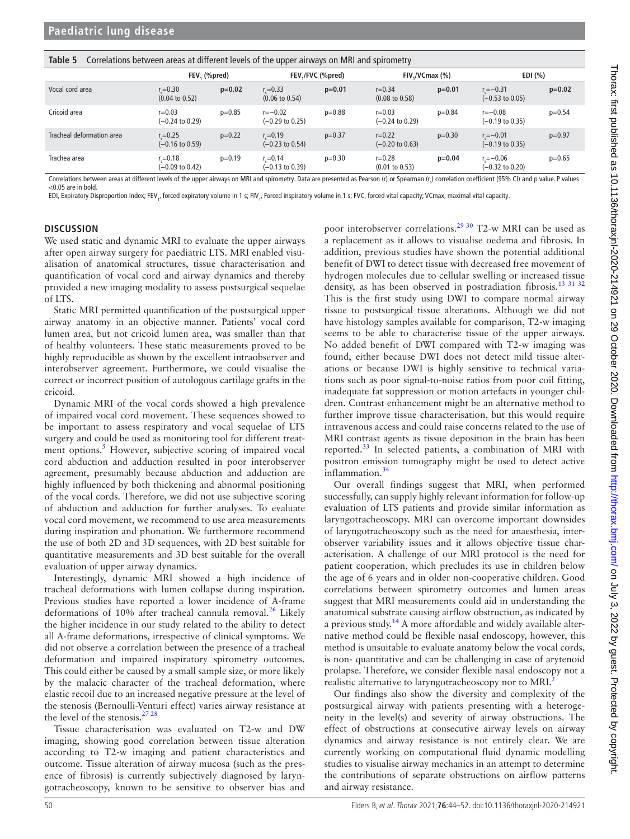| Lapic J<br>COLLETATIONS DELIVEED ALCAS AT QUITELEIR TEVETS OF THE UPPER AILWAYS OF IVITY AND SPILOTIFERY |                                          |          |                                           |          |                                          |          |                                           |          |
|----------------------------------------------------------------------------------------------------------|------------------------------------------|----------|-------------------------------------------|----------|------------------------------------------|----------|-------------------------------------------|----------|
|                                                                                                          | FEV, (%pred)                             |          | FEV./FVC (%pred)                          |          | FIV./VCmax(%)                            |          | EDI $(\% )$                               |          |
| Vocal cord area                                                                                          | $r = 0.30$<br>$(0.04 \text{ to } 0.52)$  | $p=0.02$ | $r = 0.33$<br>$(0.06 \text{ to } 0.54)$   | $p=0.01$ | $r = 0.34$<br>$(0.08 \text{ to } 0.58)$  | $p=0.01$ | $r = -0.31$<br>$(-0.53 \text{ to } 0.05)$ | $p=0.02$ |
| Cricoid area                                                                                             | $r = 0.03$<br>(-0.24 to 0.29)            | $p=0.85$ | $r = -0.02$<br>$(-0.29 \text{ to } 0.25)$ | $p=0.88$ | $r = 0.03$<br>$(-0.24 \text{ to } 0.29)$ | $p=0.84$ | $r = -0.08$<br>$(-0.19 \text{ to } 0.35)$ | $p=0.54$ |
| Tracheal deformation area                                                                                | $r = 0.25$<br>$(-0.16 \text{ to } 0.59)$ | $p=0.22$ | $r = 0.19$<br>$(-0.23 \text{ to } 0.54)$  | $p=0.37$ | $r = 0.22$<br>$(-0.20 \text{ to } 0.63)$ | $p=0.30$ | $r = -0.01$<br>$(-0.19 \text{ to } 0.35)$ | $p=0.97$ |
| Trachea area                                                                                             | $r = 0.18$<br>$(-0.09 \text{ to } 0.42)$ | $p=0.19$ | $r = 0.14$<br>$(-0.13 \text{ to } 0.39)$  | $p=0.30$ | $r = 0.28$<br>$(0.01 \text{ to } 0.53)$  | $p=0.04$ | r =-0.06<br>(-0.32 to 0.20)               | $p=0.65$ |

Correlations between areas at different levels of the upper airways on MRI and spirometry. Data are presented as Pearson (r) or Spearman (r<sub>.</sub>) correlation coefficient (95% CI) and p value. P values <0.05 are in bold.

EDI, Expiratory Disproportion Index; FEV<sub>1</sub>, forced expiratory volume in 1 s; FIV<sub>1</sub>, Forced inspiratory volume in 1 s; FVC, forced vital capacity; VCmax, maximal vital capacity.

<span id="page-6-0"></span>**Table 5** Correlations between areas at different levels of the upper airways on MRI and spirometry

## **DISCUSSION**

We used static and dynamic MRI to evaluate the upper airways after open airway surgery for paediatric LTS. MRI enabled visualisation of anatomical structures, tissue characterisation and quantification of vocal cord and airway dynamics and thereby provided a new imaging modality to assess postsurgical sequelae of LTS.

Static MRI permitted quantification of the postsurgical upper airway anatomy in an objective manner. Patients' vocal cord lumen area, but not cricoid lumen area, was smaller than that of healthy volunteers. These static measurements proved to be highly reproducible as shown by the excellent intraobserver and interobserver agreement. Furthermore, we could visualise the correct or incorrect position of autologous cartilage grafts in the cricoid.

Dynamic MRI of the vocal cords showed a high prevalence of impaired vocal cord movement. These sequences showed to be important to assess respiratory and vocal sequelae of LTS surgery and could be used as monitoring tool for different treat-ment options.<sup>[5](#page-7-1)</sup> However, subjective scoring of impaired vocal cord abduction and adduction resulted in poor interobserver agreement, presumably because abduction and adduction are highly influenced by both thickening and abnormal positioning of the vocal cords. Therefore, we did not use subjective scoring of abduction and adduction for further analyses. To evaluate vocal cord movement, we recommend to use area measurements during inspiration and phonation. We furthermore recommend the use of both 2D and 3D sequences, with 2D best suitable for quantitative measurements and 3D best suitable for the overall evaluation of upper airway dynamics.

Interestingly, dynamic MRI showed a high incidence of tracheal deformations with lumen collapse during inspiration. Previous studies have reported a lower incidence of A-frame deformations of 10% after tracheal cannula removal.<sup>26</sup> Likely the higher incidence in our study related to the ability to detect all A-frame deformations, irrespective of clinical symptoms. We did not observe a correlation between the presence of a tracheal deformation and impaired inspiratory spirometry outcomes. This could either be caused by a small sample size, or more likely by the malacic character of the tracheal deformation, where elastic recoil due to an increased negative pressure at the level of the stenosis (Bernoulli-Venturi effect) varies airway resistance at the level of the stenosis. $27<sup>2</sup>$ 

Tissue characterisation was evaluated on T2-w and DW imaging, showing good correlation between tissue alteration according to T2-w imaging and patient characteristics and outcome. Tissue alteration of airway mucosa (such as the presence of fibrosis) is currently subjectively diagnosed by laryngotracheoscopy, known to be sensitive to observer bias and

poor interobserver correlations.[29 30](#page-8-0) T2-w MRI can be used as a replacement as it allows to visualise oedema and fibrosis. In addition, previous studies have shown the potential additional benefit of DWI to detect tissue with decreased free movement of hydrogen molecules due to cellular swelling or increased tissue density, as has been observed in postradiation fibrosis.<sup>[13 31 32](#page-7-6)</sup> This is the first study using DWI to compare normal airway tissue to postsurgical tissue alterations. Although we did not have histology samples available for comparison, T2-w imaging seems to be able to characterise tissue of the upper airways. No added benefit of DWI compared with T2-w imaging was found, either because DWI does not detect mild tissue alterations or because DWI is highly sensitive to technical variations such as poor signal-to-noise ratios from poor coil fitting, inadequate fat suppression or motion artefacts in younger children. Contrast enhancement might be an alternative method to further improve tissue characterisation, but this would require intravenous access and could raise concerns related to the use of MRI contrast agents as tissue deposition in the brain has been reported.[33](#page-8-1) In selected patients, a combination of MRI with positron emission tomography might be used to detect active inflammation.<sup>[34](#page-8-2)</sup>

Our overall findings suggest that MRI, when performed successfully, can supply highly relevant information for follow-up evaluation of LTS patients and provide similar information as laryngotracheoscopy. MRI can overcome important downsides of laryngotracheoscopy such as the need for anaesthesia, interobserver variability issues and it allows objective tissue characterisation. A challenge of our MRI protocol is the need for patient cooperation, which precludes its use in children below the age of 6 years and in older non-cooperative children. Good correlations between spirometry outcomes and lumen areas suggest that MRI measurements could aid in understanding the anatomical substrate causing airflow obstruction, as indicated by a previous study.[14](#page-7-7) A more affordable and widely available alternative method could be flexible nasal endoscopy, however, this method is unsuitable to evaluate anatomy below the vocal cords, is non- quantitative and can be challenging in case of arytenoid prolapse. Therefore, we consider flexible nasal endoscopy not a realistic alternative to laryngotracheoscopy nor to MRI.[2](#page-7-2)

Our findings also show the diversity and complexity of the postsurgical airway with patients presenting with a heterogeneity in the level(s) and severity of airway obstructions. The effect of obstructions at consecutive airway levels on airway dynamics and airway resistance is not entirely clear. We are currently working on computational fluid dynamic modelling studies to visualise airway mechanics in an attempt to determine the contributions of separate obstructions on airflow patterns and airway resistance.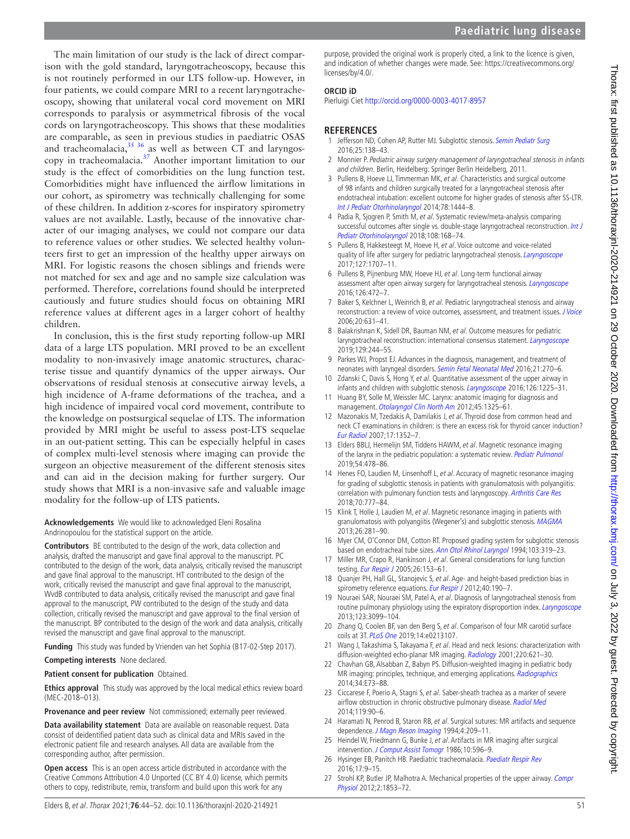The main limitation of our study is the lack of direct comparison with the gold standard, laryngotracheoscopy, because this is not routinely performed in our LTS follow-up. However, in four patients, we could compare MRI to a recent laryngotracheoscopy, showing that unilateral vocal cord movement on MRI corresponds to paralysis or asymmetrical fibrosis of the vocal cords on laryngotracheoscopy. This shows that these modalities are comparable, as seen in previous studies in paediatric OSAS and tracheomalacia, $35\frac{36}{9}$  as well as between CT and laryngoscopy in tracheomalacia[.37](#page-8-4) Another important limitation to our study is the effect of comorbidities on the lung function test. Comorbidities might have influenced the airflow limitations in our cohort, as spirometry was technically challenging for some of these children. In addition z-scores for inspiratory spirometry values are not available. Lastly, because of the innovative character of our imaging analyses, we could not compare our data to reference values or other studies. We selected healthy volunteers first to get an impression of the healthy upper airways on MRI. For logistic reasons the chosen siblings and friends were not matched for sex and age and no sample size calculation was performed. Therefore, correlations found should be interpreted cautiously and future studies should focus on obtaining MRI reference values at different ages in a larger cohort of healthy children.

In conclusion, this is the first study reporting follow-up MRI data of a large LTS population. MRI proved to be an excellent modality to non-invasively image anatomic structures, characterise tissue and quantify dynamics of the upper airways. Our observations of residual stenosis at consecutive airway levels, a high incidence of A-frame deformations of the trachea, and a high incidence of impaired vocal cord movement, contribute to the knowledge on postsurgical sequelae of LTS. The information provided by MRI might be useful to assess post-LTS sequelae in an out-patient setting. This can be especially helpful in cases of complex multi-level stenosis where imaging can provide the surgeon an objective measurement of the different stenosis sites and can aid in the decision making for further surgery. Our study shows that MRI is a non-invasive safe and valuable image modality for the follow-up of LTS patients.

#### **Acknowledgements** We would like to acknowledged Eleni Rosalina Andrinopoulou for the statistical support on the article.

**Contributors** BE contributed to the design of the work, data collection and analysis, drafted the manuscript and gave final approval to the manuscript. PC contributed to the design of the work, data analysis, critically revised the manuscript and gave final approval to the manuscript. HT contributed to the design of the work, critically revised the manuscript and gave final approval to the manuscript, WvdB contributed to data analysis, critically revised the manuscript and gave final approval to the manuscript, PW contributed to the design of the study and data collection, critically revised the manuscript and gave approval to the final version of the manuscript. BP contributed to the design of the work and data analysis, critically revised the manuscript and gave final approval to the manuscript.

**Funding** This study was funded by Vrienden van het Sophia (B17-02-Step 2017).

#### **Competing interests** None declared.

#### **Patient consent for publication** Obtained.

**Ethics approval** This study was approved by the local medical ethics review board (MEC-2018–013).

**Provenance and peer review** Not commissioned; externally peer reviewed.

**Data availability statement** Data are available on reasonable request. Data consist of deidentified patient data such as clinical data and MRIs saved in the electronic patient file and research analyses. All data are available from the corresponding author, after permission.

**Open access** This is an open access article distributed in accordance with the Creative Commons Attribution 4.0 Unported (CC BY 4.0) license, which permits others to copy, redistribute, remix, transform and build upon this work for any

## **ORCID iD**

Pierluigi Ciet<http://orcid.org/0000-0003-4017-8957>

## **REFERENCES**

- <span id="page-7-0"></span>1 Jefferson ND, Cohen AP, Rutter MJ. Subglottic stenosis. [Semin Pediatr Surg](http://dx.doi.org/10.1053/j.sempedsurg.2016.02.006) 2016;25:138–43.
- <span id="page-7-2"></span>2 Monnier P. Pediatric airway surgery management of laryngotracheal stenosis in infants and children. Berlin, Heidelberg: Springer Berlin Heidelberg, 2011.
- 3 Pullens B, Hoeve LJ, Timmerman MK, et al. Characteristics and surgical outcome of 98 infants and children surgically treated for a laryngotracheal stenosis after endotracheal intubation: excellent outcome for higher grades of stenosis after SS-LTR. [Int J Pediatr Otorhinolaryngol](http://dx.doi.org/10.1016/j.ijporl.2014.05.034) 2014;78:1444–8.
- 4 Padia R, Sjogren P, Smith M, et al. Systematic review/meta-analysis comparing successful outcomes after single vs. double-stage laryngotracheal reconstruction. Int J [Pediatr Otorhinolaryngol](http://dx.doi.org/10.1016/j.ijporl.2018.03.003) 2018;108:168–74.
- <span id="page-7-1"></span>5 Pullens B, Hakkesteegt M, Hoeve H, et al. Voice outcome and voice-related quality of life after surgery for pediatric laryngotracheal stenosis. [Laryngoscope](http://dx.doi.org/10.1002/lary.26374) 2017;127:1707–11.
- 6 Pullens B, Pijnenburg MW, Hoeve HJ, et al. Long-term functional airway assessment after open airway surgery for laryngotracheal stenosis. [Laryngoscope](http://dx.doi.org/10.1002/lary.25419) 2016;126:472–7.
- 7 Baker S, Kelchner L, Weinrich B, et al. Pediatric laryngotracheal stenosis and airway reconstruction: a review of voice outcomes, assessment, and treatment issues. [J Voice](http://dx.doi.org/10.1016/j.jvoice.2005.08.012) 2006;20:631–41.
- 8 Balakrishnan K, Sidell DR, Bauman NM, et al. Outcome measures for pediatric laryngotracheal reconstruction: international consensus statement. [Laryngoscope](http://dx.doi.org/10.1002/lary.27445) 2019;129:244–55.
- <span id="page-7-3"></span>9 Parkes WJ, Propst EJ. Advances in the diagnosis, management, and treatment of neonates with laryngeal disorders. [Semin Fetal Neonatal Med](http://dx.doi.org/10.1016/j.siny.2016.03.003) 2016;21:270–6.
- <span id="page-7-4"></span>10 Zdanski C, Davis S, Hong Y, et al. Quantitative assessment of the upper airway in infants and children with subglottic stenosis. [Laryngoscope](http://dx.doi.org/10.1002/lary.25482) 2016;126:1225-31.
- 11 Huang BY, Solle M, Weissler MC. Larynx: anatomic imaging for diagnosis and management. [Otolaryngol Clin North Am](http://dx.doi.org/10.1016/j.otc.2012.08.006) 2012;45:1325–61.
- <span id="page-7-5"></span>12 Mazonakis M, Tzedakis A, Damilakis J, et al. Thyroid dose from common head and neck CT examinations in children: is there an excess risk for thyroid cancer induction? [Eur Radiol](http://dx.doi.org/10.1007/s00330-006-0417-9) 2007;17:1352–7.
- <span id="page-7-6"></span>13 Elders BBLJ, Hermelijn SM, Tiddens HAWM, et al. Magnetic resonance imaging of the larynx in the pediatric population: a systematic review. [Pediatr Pulmonol](http://dx.doi.org/10.1002/ppul.24250) 2019;54:478–86.
- <span id="page-7-7"></span>14 Henes FO, Laudien M, Linsenhoff L, et al. Accuracy of magnetic resonance imaging for grading of subglottic stenosis in patients with granulomatosis with polyangiitis: correlation with pulmonary function tests and laryngoscopy. [Arthritis Care Res](http://dx.doi.org/10.1002/acr.23332) 2018;70:777–84.
- 15 Klink T, Holle J, Laudien M, et al. Magnetic resonance imaging in patients with granulomatosis with polyangiitis (Wegener's) and subglottic stenosis. [MAGMA](http://dx.doi.org/10.1007/s10334-012-0351-6) 2013;26:281–90.
- <span id="page-7-8"></span>16 Myer CM, O'Connor DM, Cotton RT. Proposed grading system for subglottic stenosis based on endotracheal tube sizes. [Ann Otol Rhinol Laryngol](http://dx.doi.org/10.1177/000348949410300410) 1994;103:319-23.
- <span id="page-7-9"></span>17 Miller MR, Crapo R, Hankinson J, et al. General considerations for lung function testing. [Eur Respir J](http://dx.doi.org/10.1183/09031936.05.00034505) 2005;26:153-61.
- <span id="page-7-10"></span>18 Quanjer PH, Hall GL, Stanojevic S, et al. Age- and height-based prediction bias in spirometry reference equations. *[Eur Respir J](http://dx.doi.org/10.1183/09031936.00161011)* 2012:40:190-7.
- 19 Nouraei SAR, Nouraei SM, Patel A, et al. Diagnosis of laryngotracheal stenosis from routine pulmonary physiology using the expiratory disproportion index. [Laryngoscope](http://dx.doi.org/10.1002/lary.24192) 2013;123:3099–104.
- <span id="page-7-11"></span>20 Zhang Q, Coolen BF, van den Berg S, et al. Comparison of four MR carotid surface coils at 3T. *[PLoS One](http://dx.doi.org/10.1371/journal.pone.0213107)* 2019:14:e0213107.
- <span id="page-7-12"></span>21 Wang J, Takashima S, Takayama F, et al. Head and neck lesions: characterization with diffusion-weighted echo-planar MR imaging. [Radiology](http://dx.doi.org/10.1148/radiol.2202010063) 2001;220:621-30.
- 22 Chavhan GB, Alsabban Z, Babyn PS. Diffusion-weighted imaging in pediatric body MR imaging: principles, technique, and emerging applications. [Radiographics](http://dx.doi.org/10.1148/rg.343135047) 2014;34:E73–88.
- <span id="page-7-13"></span>23 Ciccarese F, Poerio A, Stagni S, et al. Saber-sheath trachea as a marker of severe airflow obstruction in chronic obstructive pulmonary disease. [Radiol Med](http://dx.doi.org/10.1007/s11547-013-0318-3) 2014;119:90–6.
- <span id="page-7-14"></span>24 Haramati N, Penrod B, Staron RB, et al. Surgical sutures: MR artifacts and sequence dependence. [J Magn Reson Imaging](http://dx.doi.org/10.1002/jmri.1880040219) 1994;4:209-11.
- 25 Heindel W, Friedmann G, Bunke J, et al. Artifacts in MR imaging after surgical intervention. [J Comput Assist Tomogr](http://dx.doi.org/10.1097/00004728-198607000-00009) 1986;10:596-9.
- <span id="page-7-15"></span>26 Hysinger EB, Panitch HB. Paediatric tracheomalacia. [Paediatr Respir Rev](http://dx.doi.org/10.1016/j.prrv.2015.03.002) 2016;17:9–15.
- <span id="page-7-16"></span>27 Strohl KP, Butler JP, Malhotra A. Mechanical properties of the upper airway. Compr [Physiol](http://dx.doi.org/10.1002/cphy.c110053) 2012;2:1853–72.